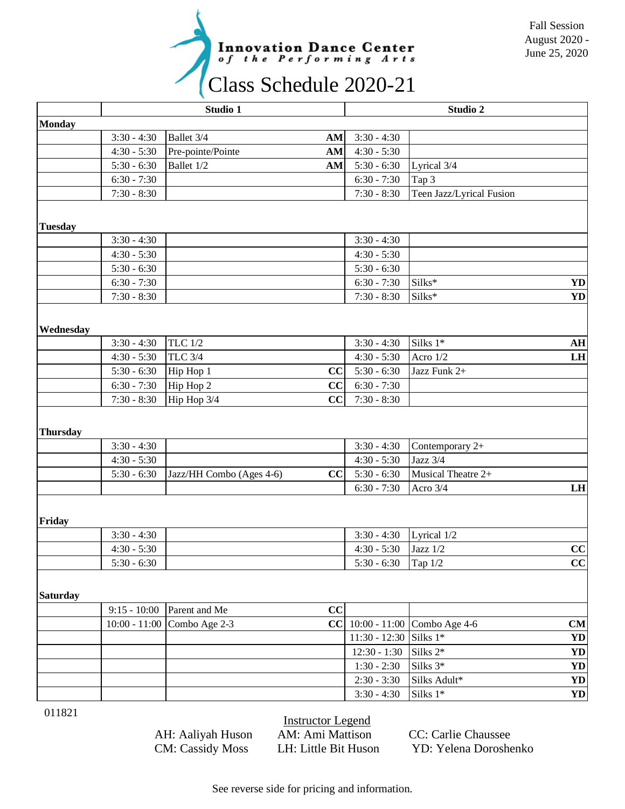

|                 | Studio 1       |                                |  | Studio 2        |                                    |           |
|-----------------|----------------|--------------------------------|--|-----------------|------------------------------------|-----------|
| <b>Monday</b>   |                |                                |  |                 |                                    |           |
|                 | $3:30 - 4:30$  | Ballet 3/4<br>$AM$             |  | $3:30 - 4:30$   |                                    |           |
|                 | $4:30 - 5:30$  | Pre-pointe/Pointe<br>AM        |  | $4:30 - 5:30$   |                                    |           |
|                 | $5:30 - 6:30$  | Ballet 1/2<br><b>AM</b>        |  | $5:30 - 6:30$   | Lyrical 3/4                        |           |
|                 | $6:30 - 7:30$  |                                |  | $6:30 - 7:30$   | Tap 3                              |           |
|                 | $7:30 - 8:30$  |                                |  | $7:30 - 8:30$   | Teen Jazz/Lyrical Fusion           |           |
|                 |                |                                |  |                 |                                    |           |
| <b>Tuesday</b>  |                |                                |  |                 |                                    |           |
|                 | $3:30 - 4:30$  |                                |  | $3:30 - 4:30$   |                                    |           |
|                 | $4:30 - 5:30$  |                                |  | $4:30 - 5:30$   |                                    |           |
|                 | $5:30 - 6:30$  |                                |  | $5:30 - 6:30$   |                                    |           |
|                 | $6:30 - 7:30$  |                                |  | $6:30 - 7:30$   | Silks*                             | <b>YD</b> |
|                 | $7:30 - 8:30$  |                                |  | $7:30 - 8:30$   | Silks*                             | <b>YD</b> |
|                 |                |                                |  |                 |                                    |           |
| Wednesday       |                |                                |  |                 |                                    |           |
|                 | $3:30 - 4:30$  | <b>TLC</b> 1/2                 |  | $3:30 - 4:30$   | Silks 1*                           | AH        |
|                 | $4:30 - 5:30$  | TLC 3/4                        |  | $4:30 - 5:30$   | Acro 1/2                           | LH        |
|                 | $5:30 - 6:30$  | CC<br>Hip Hop 1                |  | $5:30 - 6:30$   | Jazz Funk 2+                       |           |
|                 | $6:30 - 7:30$  | Hip Hop 2<br>CC                |  | $6:30 - 7:30$   |                                    |           |
|                 | $7:30 - 8:30$  | CC<br>Hip Hop 3/4              |  | $7:30 - 8:30$   |                                    |           |
|                 |                |                                |  |                 |                                    |           |
| <b>Thursday</b> |                |                                |  |                 |                                    |           |
|                 | $3:30 - 4:30$  |                                |  | $3:30 - 4:30$   | Contemporary 2+                    |           |
|                 | $4:30 - 5:30$  |                                |  | $4:30 - 5:30$   | Jazz 3/4                           |           |
|                 | $5:30 - 6:30$  | Jazz/HH Combo (Ages 4-6)<br>CC |  | $5:30 - 6:30$   | Musical Theatre 2+                 |           |
|                 |                |                                |  | $6:30 - 7:30$   | Acro 3/4                           | LH        |
|                 |                |                                |  |                 |                                    |           |
|                 |                |                                |  |                 |                                    |           |
| Friday          |                |                                |  |                 |                                    |           |
|                 | $3:30 - 4:30$  |                                |  | $3:30 - 4:30$   | Lyrical 1/2                        |           |
|                 | $4:30 - 5:30$  |                                |  | $4:30 - 5:30$   | Jazz 1/2                           | CC        |
|                 | $5:30 - 6:30$  |                                |  | $5:30 - 6:30$   | Tap 1/2                            | CC        |
|                 |                |                                |  |                 |                                    |           |
| <b>Saturday</b> |                |                                |  |                 |                                    |           |
|                 | $9:15 - 10:00$ | Parent and Me<br>CC            |  |                 |                                    |           |
|                 |                | 10:00 - 11:00 Combo Age 2-3    |  |                 | $ CC $ 10:00 - 11:00 Combo Age 4-6 | CM        |
|                 |                |                                |  | $11:30 - 12:30$ | Silks 1*                           | <b>YD</b> |
|                 |                |                                |  | $12:30 - 1:30$  | Silks 2*                           | <b>YD</b> |
|                 |                |                                |  | $1:30 - 2:30$   | Silks 3*                           | <b>YD</b> |
|                 |                |                                |  | $2:30 - 3:30$   | Silks Adult*                       | <b>YD</b> |
|                 |                |                                |  | $3:30 - 4:30$   | Silks $1*$                         | <b>YD</b> |

011821

Instructor Legend

AH: Aaliyah Huson AM: Ami Mattison CC: Carlie Chaussee CM: Cassidy Moss LH: Little Bit Huson YD: Yelena Doroshenko